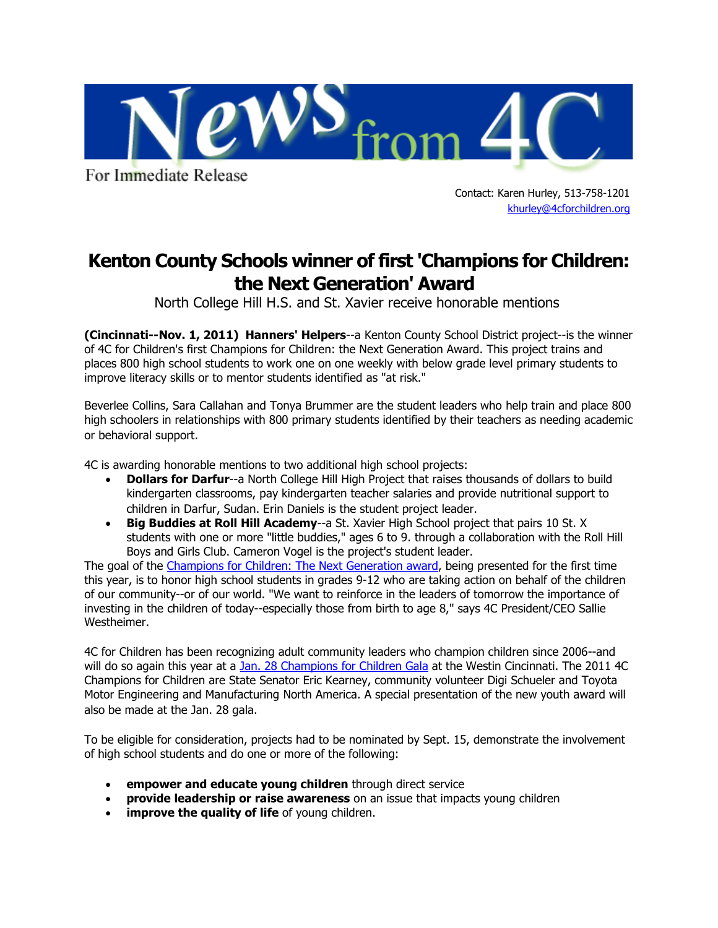

For Immediate Release

Contact: Karen Hurley, 513-758-1201 [khurley@4cforchildren.org](mailto:lkruse@4cforchildren.org)

## **Kenton County Schools winner of first 'Champions for Children: the Next Generation' Award**

North College Hill H.S. and St. Xavier receive honorable mentions

**(Cincinnati--Nov. 1, 2011) Hanners' Helpers**--a Kenton County School District project--is the winner of 4C for Children's first Champions for Children: the Next Generation Award. This project trains and places 800 high school students to work one on one weekly with below grade level primary students to improve literacy skills or to mentor students identified as "at risk."

Beverlee Collins, Sara Callahan and Tonya Brummer are the student leaders who help train and place 800 high schoolers in relationships with 800 primary students identified by their teachers as needing academic or behavioral support.

4C is awarding honorable mentions to two additional high school projects:

- **Dollars for Darfur--a North College Hill High Project that raises thousands of dollars to build** kindergarten classrooms, pay kindergarten teacher salaries and provide nutritional support to children in Darfur, Sudan. Erin Daniels is the student project leader.
- **Big Buddies at Roll Hill Academy**--a St. Xavier High School project that pairs 10 St. X students with one or more "little buddies," ages 6 to 9. through a collaboration with the Roll Hill Boys and Girls Club. Cameron Vogel is the project's student leader.

The goal of the Champions for Children: The Next Generation award, being presented for the first time this year, is to honor high school students in grades 9-12 who are taking action on behalf of the children of our community--or of our world. "We want to reinforce in the leaders of tomorrow the importance of investing in the children of today--especially those from birth to age 8," says 4C President/CEO Sallie Westheimer.

4C for Children has been recognizing adult community leaders who champion children since 2006--and will do so again this year at a Jan. 28 Champions for Children Gala at the Westin Cincinnati. The 2011 4C Champions for Children are State Senator Eric Kearney, community volunteer Digi Schueler and Toyota Motor Engineering and Manufacturing North America. A special presentation of the new youth award will also be made at the Jan. 28 gala.

To be eligible for consideration, projects had to be nominated by Sept. 15, demonstrate the involvement of high school students and do one or more of the following:

- **empower and educate young children** through direct service
- **provide leadership or raise awareness** on an issue that impacts young children
- **improve the quality of life** of young children.